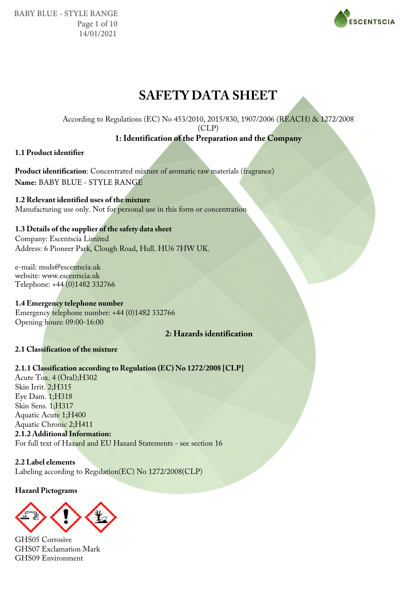BABY BLUE - STYLE RANGE Page 1 of 10 14/01/2021



## **SAFETY DATA SHEET**

According to Regulations (EC) No 453/2010, 2015/830, 1907/2006 (REACH) & 1272/2008

(CLP)

## **1: Identification of the Preparation and the Company**

## **1.1 Product identifier**

**Product identification**: Concentrated mixture of aromatic raw materials (fragrance) **Name:** BABY BLUE - STYLE RANGE

**1.2 Relevant identified uses of the mixture** Manufacturing use only. Not for personal use in this form or concentration

## **1.3 Details of the supplier of the safety data sheet**

Company: Escentscia Limited Address: 6 Pioneer Park, Clough Road, Hull. HU6 7HW UK.

e-mail: msds@escentscia.uk website: www.escentscia.uk Telephone: +44 (0)1482 332766

**1.4 Emergency telephone number** Emergency telephone number: +44 (0)1482 332766 Opening hours: 09:00-16:00

## **2: Hazards identification**

## **2.1 Classification of the mixture**

## **2.1.1 Classification according to Regulation (EC) No 1272/2008 [CLP]**

Acute Tox. 4 (Oral);H302 Skin Irrit. 2;H315 Eye Dam. 1;H318 Skin Sens. 1;H317 Aquatic Acute 1;H400 Aquatic Chronic 2;H411 **2.1.2 Additional Information:** For full text of Hazard and EU Hazard Statements - see section 16

**2.2 Label elements** Labeling according to Regulation(EC) No 1272/2008(CLP)

**Hazard Pictograms**



GHS05 Corrosive GHS07 Exclamation Mark GHS09 Environment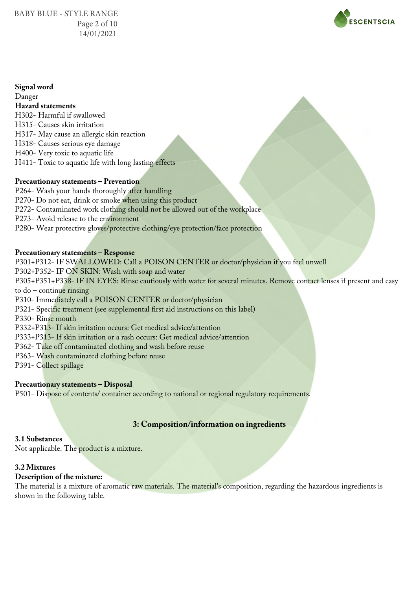

## **Signal word**

Danger **Hazard statements** H302- Harmful if swallowed H315- Causes skin irritation H317- May cause an allergic skin reaction H318- Causes serious eye damage H400- Very toxic to aquatic life H411- Toxic to aquatic life with long lasting effects

## **Precautionary statements – Prevention**

P264- Wash your hands thoroughly after handling P270- Do not eat, drink or smoke when using this product P272- Contaminated work clothing should not be allowed out of the workplace P273- Avoid release to the environment P280- Wear protective gloves/protective clothing/eye protection/face protection

## **Precautionary statements – Response**

P301+P312- IF SWALLOWED: Call a POISON CENTER or doctor/physician if you feel unwell P302+P352- IF ON SKIN: Wash with soap and water P305+P351+P338- IF IN EYES: Rinse cautiously with water for several minutes. Remove contact lenses if present and easy to do – continue rinsing P310- Immediately call a POISON CENTER or doctor/physician P321- Specific treatment (see supplemental first aid instructions on this label) P330- Rinse mouth P332+P313- If skin irritation occurs: Get medical advice/attention P333+P313- If skin irritation or a rash occurs: Get medical advice/attention P362- Take off contaminated clothing and wash before reuse P363- Wash contaminated clothing before reuse P391- Collect spillage

## **Precautionary statements – Disposal**

P501- Dispose of contents/ container according to national or regional regulatory requirements.

## **3: Composition/information on ingredients**

## **3.1 Substances**

Not applicable. The product is a mixture.

## **3.2 Mixtures**

## **Description of the mixture:**

The material is a mixture of aromatic raw materials. The material's composition, regarding the hazardous ingredients is shown in the following table.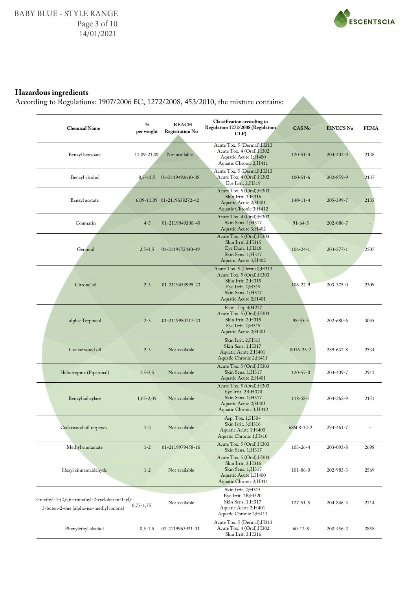

## **Hazardous ingredients**

According to Regulations: 1907/2006 ΕC, 1272/2008, 453/2010, the mixture contains:

| <b>Chemical Name</b>                                                                       | $\frac{0}{0}$<br>per weight | <b>REACH</b><br><b>Registration No</b> | <b>Classification according to</b><br>Regulation 1272/2008 (Regulation<br>CLP)                                                                    | <b>CAS No</b>   | <b>EINECS No</b> | <b>FEMA</b> |
|--------------------------------------------------------------------------------------------|-----------------------------|----------------------------------------|---------------------------------------------------------------------------------------------------------------------------------------------------|-----------------|------------------|-------------|
| Benzyl benzoate                                                                            | 11,09-21,09                 | Not available                          | Acute Tox. 5 (Dermal); H313<br>Acute Tox. 4 (Oral); H302<br>Aquatic Acute 1;H400<br>Aquatic Chronic 2;H411                                        | $120 - 51 - 4$  | $204 - 402 - 9$  | 2138        |
| Benzyl alcohol                                                                             | 8,5-13,5                    | 01-2119492630-38                       | Acute Tox. 5 (Dermal); H313<br>Acute Tox. 4 (Oral); H302<br>Eye Irrit. 2;H319                                                                     | $100 - 51 - 6$  | $202 - 859 - 9$  | 2137        |
| Benzyl acetate                                                                             |                             | 6,09-11,09 01-2119638272-42            | Acute Tox. 5 (Oral); H303<br>Skin Irrit. 3;H316<br>Aquatic Acute 2;H401<br>Aquatic Chronic 3;H412                                                 | $140 - 11 - 4$  | 205-399-7        | 2135        |
| Coumarin                                                                                   | $4 - 5$                     | 01-2119949300-45                       | Acute Tox. 4 (Oral); H302<br>Skin Sens. 1;H317<br>Aquatic Acute 3;H402                                                                            | $91 - 64 - 5$   | $202 - 086 - 7$  |             |
| Geraniol                                                                                   | $2,5-3,5$                   | 01-2119552430-49                       | Acute Tox. 5 (Oral); H303<br>Skin Irrit. 2;H315<br>Eye Dam. 1;H318<br>Skin Sens. 1;H317<br>Aquatic Acute 3;H402                                   | $106 - 24 - 1$  | $203 - 377 - 1$  | 2507        |
| Citronellol                                                                                | $2 - 3$                     | 01-2119453995-23                       | Acute Tox. 5 (Dermal); H313<br>Acute Tox. 5 (Oral); H303<br>Skin Irrit. 2; H315<br>Eye Irrit. 2;H319<br>Skin Sens. 1;H317<br>Aquatic Acute 2;H401 | $106 - 22 - 9$  | $203 - 375 - 0$  | 2309        |
| alpha-Terpineol                                                                            | $2 - 3$                     | 01-2119980717-23                       | Flam. Liq. 4; H227<br>Acute Tox. 5 (Oral); H303<br>Skin Irrit. 2;H315<br>Eye Irrit. 2;H319<br>Aquatic Acute 2;H401                                | $98 - 55 - 5$   | $202 - 680 - 6$  | 3045        |
| Guaiac wood oil                                                                            | $2 - 3$                     | Not available                          | Skin Irrit. 2;H315<br>Skin Sens. 1;H317<br>Aquatic Acute 2;H401<br>Aquatic Chronic 2;H411                                                         | $8016 - 23 - 7$ | 289-632-8        | 2534        |
| Heliotropine (Piperonal)                                                                   | $1,5-2,5$                   | Not available                          | Acute Tox. 5 (Oral); H303<br>Skin Sens. 1;H317<br>Aquatic Acute 2;H401                                                                            | $120 - 57 - 0$  | 204-409-7        | 2911        |
| Benzyl salicylate                                                                          | $1,05-2,05$                 | Not available                          | Acute Tox. 5 (Oral); H303<br>Eye Irrit. 2B;H320<br>Skin Sens. 1;H317<br>Aquatic Acute 2;H401<br>Aquatic Chronic 3;H412                            | 118-58-1        | $204 - 262 - 9$  | 2151        |
| Cedarwood oil terpenes                                                                     | $1 - 2$                     | Not available                          | Asp. Tox. 1;H304<br>Skin Irrit. 3;H316<br>Aquatic Acute 1;H400<br>Aquatic Chronic 1;H410                                                          | 68608-32-2      | 294-461-7        |             |
| Methyl cinnamate                                                                           | $1 - 2$                     | 01-2119979458-16                       | Acute Tox. 5 (Oral); H303<br>Skin Sens. 1;H317                                                                                                    | $103 - 26 - 4$  | 203-093-8        | 2698        |
| Hexyl cinnamaldehyde                                                                       | $1 - 2$                     | Not available                          | Acute Tox. 5 (Oral); H303<br>Skin Irrit. 3;H316<br>Skin Sens. 1;H317<br>Aquatic Acute 1;H400<br>Aquatic Chronic 2;H411                            | $101 - 86 - 0$  | 202-983-3        | 2569        |
| 3-methyl-4-(2,6,6-trimethyl-2-cyclohexen-1-yl)-<br>3-buten-2-one (alpha-iso-methyl ionone) | $0,75-1,75$                 | Not available                          | Skin Irrit. 2;H315<br>Eye Irrit. 2B;H320<br>Skin Sens. 1;H317<br>Aquatic Acute 2;H401<br>Aquatic Chronic 2;H411                                   | $127 - 51 - 5$  | 204-846-3        | 2714        |
| Phenylethyl alcohol                                                                        | $0, 5 - 1, 5$               | 01-2119963921-31                       | Acute Tox. 5 (Dermal); H313<br>Acute Tox. 4 (Oral);H302<br>Skin Irrit. 3;H316                                                                     | $60 - 12 - 8$   | $200 - 456 - 2$  | 2858        |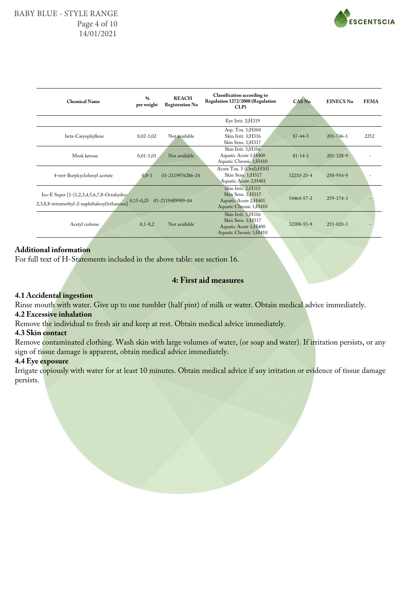

| <b>Chemical Name</b>                                                                       | $\frac{0}{0}$<br>per weight | <b>REACH</b><br><b>Registration No</b> | <b>Classification according to</b><br>Regulation 1272/2008 (Regulation<br>CLP)            | <b>CAS No</b>    | <b>EINECS No</b> | <b>FEMA</b> |
|--------------------------------------------------------------------------------------------|-----------------------------|----------------------------------------|-------------------------------------------------------------------------------------------|------------------|------------------|-------------|
|                                                                                            |                             |                                        | Eye Irrit. 2;H319                                                                         |                  |                  |             |
| beta-Caryophyllene                                                                         | $0,02-1,02$                 | Not available                          | Asp. Tox. 1;H304<br>Skin Irrit. 3;H316<br>Skin Sens. 1;H317                               | $87 - 44 - 5$    | $201 - 746 - 1$  | 2252        |
| Musk ketone                                                                                | $0,01-1,01$                 | Not available                          | Skin Irrit. 3; H316<br>Aquatic Acute 1;H400<br>Aquatic Chronic 1;H410                     | $81 - 14 - 1$    | $201 - 328 - 9$  |             |
| 4-tert-Butylcyclohexyl acetate                                                             | $0, 8 - 1$                  | 01-2119976286-24                       | Acute Tox. 5 (Oral); H303<br>Skin Sens. 1;H317<br>Aquatic Acute 2;H401                    | $32210 - 23 - 4$ | 250-954-9        |             |
| Iso-E Super [1-(1,2,3,4,5,6,7,8-Octahydro-<br>2,3,8,8-tetramethyl-2-naphthalenyl)ethanone] | $0,15-0,25$                 | 01-2119489989-04                       | Skin Irrit. 2;H315<br>Skin Sens. 1;H317<br>Aquatic Acute 2;H401<br>Aquatic Chronic 1;H410 | 54464-57-2       | $259 - 174 - 3$  |             |
| Acetyl cedrene                                                                             | $0,1-0,2$                   | Not available                          | Skin Irrit. 3;H316<br>Skin Sens. 1;H317<br>Aquatic Acute 1;H400<br>Aquatic Chronic 1;H410 | 32388-55-9       | $251 - 020 - 3$  |             |
|                                                                                            |                             |                                        |                                                                                           |                  |                  |             |

## **Additional information**

For full text of H-Statements included in the above table: see section 16.

## **4: First aid measures**

#### **4.1 Accidental ingestion**

Rinse mouth with water. Give up to one tumbler (half pint) of milk or water. Obtain medical advice immediately.

## **4.2 Excessive inhalation**

Remove the individual to fresh air and keep at rest. Obtain medical advice immediately.

#### **4.3 Skin contact**

Remove contaminated clothing. Wash skin with large volumes of water, (or soap and water). If irritation persists, or any sign of tissue damage is apparent, obtain medical advice immediately.

#### **4.4 Eye exposure**

Irrigate copiously with water for at least 10 minutes. Obtain medical advice if any irritation or evidence of tissue damage persists.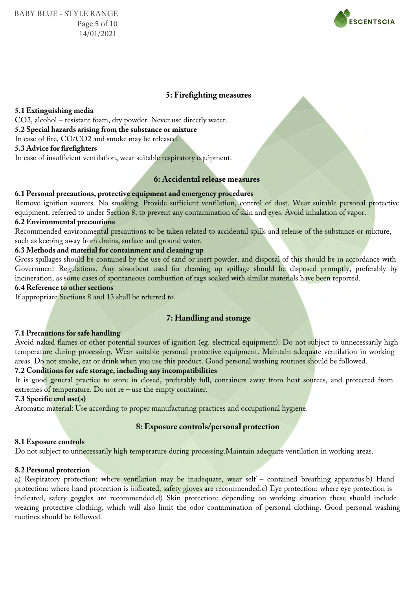

## **5: Firefighting measures**

#### **5.1 Extinguishing media**

CO2, alcohol – resistant foam, dry powder. Never use directly water. **5.2 Special hazards arising from the substance or mixture**

In case of fire, CO/CO2 and smoke may be released.

## **5.3 Advice for firefighters**

In case of insufficient ventilation, wear suitable respiratory equipment.

## **6: Accidental release measures**

#### **6.1 Personal precautions, protective equipment and emergency procedures**

Remove ignition sources. No smoking. Provide sufficient ventilation, control of dust. Wear suitable personal protective equipment, referred to under Section 8, to prevent any contamination of skin and eyes. Avoid inhalation of vapor.

## **6.2 Environmental precautions**

Recommended environmental precautions to be taken related to accidental spills and release of the substance or mixture, such as keeping away from drains, surface and ground water.

## **6.3 Methods and material for containment and cleaning up**

Gross spillages should be contained by the use of sand or inert powder, and disposal of this should be in accordance with Government Regulations. Any absorbent used for cleaning up spillage should be disposed promptly, preferably by incineration, as some cases of spontaneous combustion of rags soaked with similar materials have been reported.

## **6.4 Reference to other sections**

If appropriate Sections 8 and 13 shall be referred to.

## **7: Handling and storage**

#### **7.1 Precautions for safe handling**

Avoid naked flames or other potential sources of ignition (eg. electrical equipment). Do not subject to unnecessarily high temperature during processing. Wear suitable personal protective equipment. Maintain adequate ventilation in working areas. Do not smoke, eat or drink when you use this product. Good personal washing routines should be followed.

#### **7.2 Conditions for safe storage, including any incompatibilities**

It is good general practice to store in closed, preferably full, containers away from heat sources, and protected from extremes of temperature. Do not re – use the empty container.

## **7.3 Specific end use(s)**

Aromatic material: Use according to proper manufacturing practices and occupational hygiene.

#### **8: Exposure controls/personal protection**

#### **8.1 Exposure controls**

Do not subject to unnecessarily high temperature during processing.Maintain adequate ventilation in working areas.

#### **8.2 Personal protection**

a) Respiratory protection: where ventilation may be inadequate, wear self – contained breathing apparatus.b) Hand protection: where hand protection is indicated, safety gloves are recommended.c) Eye protection: where eye protection is indicated, safety goggles are recommended.d) Skin protection: depending on working situation these should include wearing protective clothing, which will also limit the odor contamination of personal clothing. Good personal washing routines should be followed.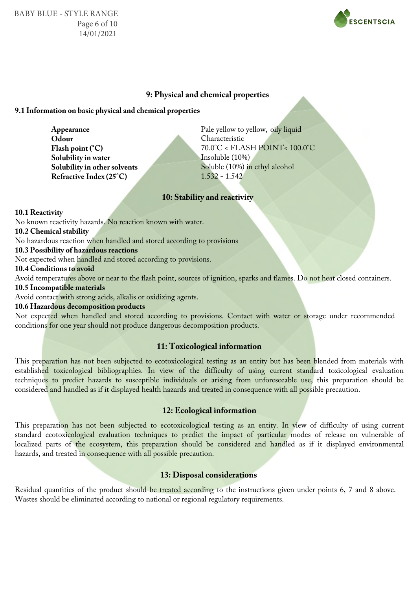BABY BLUE - STYLE RANGE Page 6 of 10 14/01/2021



## **9: Physical and chemical properties**

#### **9.1 Information on basic physical and chemical properties**

**Odour Flash point (°C) Solubility in water Solubility in other solvents Refractive Index (25°C)**

**Appearance** Pale yellow to yellow, oily liquid Characteristic 70.0°C < FLASH POINT< 100.0°C Insoluble (10%) Soluble (10%) in ethyl alcohol 1.532 - 1.542

## **10: Stability and reactivity**

**10.1 Reactivity**

No known reactivity hazards. No reaction known with water.

**10.2 Chemical stability**

No hazardous reaction when handled and stored according to provisions

#### **10.3 Possibility of hazardous reactions**

Not expected when handled and stored according to provisions.

**10.4 Conditions to avoid**

Avoid temperatures above or near to the flash point, sources of ignition, sparks and flames. Do not heat closed containers.

## **10.5 Incompatible materials**

Avoid contact with strong acids, alkalis or oxidizing agents.

## **10.6 Hazardous decomposition products**

Not expected when handled and stored according to provisions. Contact with water or storage under recommended conditions for one year should not produce dangerous decomposition products.

#### **11: Toxicological information**

This preparation has not been subjected to ecotoxicological testing as an entity but has been blended from materials with established toxicological bibliographies. In view of the difficulty of using current standard toxicological evaluation techniques to predict hazards to susceptible individuals or arising from unforeseeable use, this preparation should be considered and handled as if it displayed health hazards and treated in consequence with all possible precaution.

## **12: Ecological information**

This preparation has not been subjected to ecotoxicological testing as an entity. In view of difficulty of using current standard ecotoxicological evaluation techniques to predict the impact of particular modes of release on vulnerable of localized parts of the ecosystem, this preparation should be considered and handled as if it displayed environmental hazards, and treated in consequence with all possible precaution.

#### **13: Disposal considerations**

Residual quantities of the product should be treated according to the instructions given under points 6, 7 and 8 above. Wastes should be eliminated according to national or regional regulatory requirements.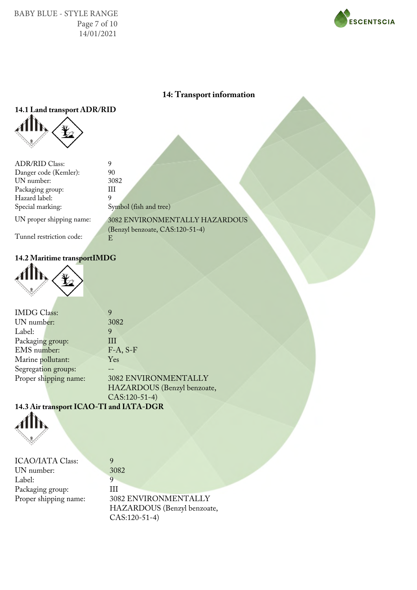BABY BLUE - STYLE RANGE Page 7 of 10 14/01/2021



## **14: Transport information**

# **14.1 Land transport ADR/RID**



| <b>ADR/RID Class:</b>    | 9                              |
|--------------------------|--------------------------------|
| Danger code (Kemler):    | 90                             |
| UN number:               | 3082                           |
| Packaging group:         |                                |
| Hazard label:            | q                              |
| Special marking:         | Symbol (fish and tree)         |
| UN proper shipping name: | 3082 ENVIRONMENTALLY HAZARDOUS |

(Benzyl benzoate, CAS:120-51-4)

E

Tunnel restriction code:

## **14.2 Maritime transportIMDG**



| <b>IMDG</b> Class:    | 9                           |
|-----------------------|-----------------------------|
| UN number:            | 3082                        |
| Label:                | 9                           |
| Packaging group:      | Ш                           |
| EMS number:           | $F-A, S-F$                  |
| Marine pollutant:     | <b>Yes</b>                  |
| Segregation groups:   |                             |
| Proper shipping name: | 3082 ENVIRONMENTALLY        |
|                       | HAZARDOUS (Benzyl benzoate, |
|                       | $CAS:120-51-4)$             |

9

## **14.3 Air transport ICAO-TI and IATA-DGR**



| <b>ICAO/IATA Class:</b> |
|-------------------------|
| UN number:              |
| Label:                  |
| Packaging group:        |
| Proper shipping name:   |
|                         |

3082 9 III 3082 ENVIRONMENTALLY HAZARDOUS (Benzyl benzoate, CAS:120-51-4)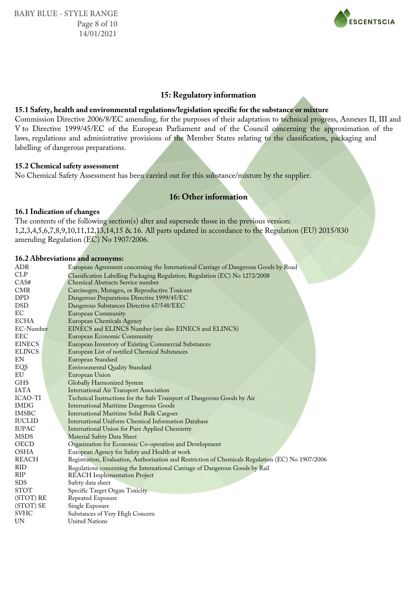

## **15: Regulatory information**

#### **15.1 Safety, health and environmental regulations/legislation specific for the substance or mixture**

Commission Directive 2006/8/EC amending, for the purposes of their adaptation to technical progress, Annexes II, III and V to Directive 1999/45/EC of the European Parliament and of the Council concerning the approximation of the laws, regulations and administrative provisions of the Member States relating to the classification, packaging and labelling of dangerous preparations.

#### **15.2 Chemical safety assessment**

No Chemical Safety Assessment has been carried out for this substance/mixture by the supplier.

## **16: Other information**

#### **16.1 Indication of changes**

The contents of the following section(s) alter and supersede those in the previous version: 1,2,3,4,5,6,7,8,9,10,11,12,13,14,15 & 16. All parts updated in accordance to the Regulation (EU) 2015/830 amending Regulation (EC) No 1907/2006.

#### **16.2 Abbreviations and acronyms:**

| ADR           | European Agreement concerning the International Carriage of Dangerous Goods by Road               |
|---------------|---------------------------------------------------------------------------------------------------|
| <b>CLP</b>    | Classification Labelling Packaging Regulation; Regulation (EC) No 1272/2008                       |
| CAS#          | <b>Chemical Abstracts Service number</b>                                                          |
| <b>CMR</b>    | Carcinogen, Mutagen, or Reproductive Toxicant                                                     |
| DPD           | Dangerous Preparations Directive 1999/45/EC                                                       |
| <b>DSD</b>    | Dangerous Substances Directive 67/548/EEC                                                         |
| ЕC            | <b>European Community</b>                                                                         |
| <b>ECHA</b>   | <b>European Chemicals Agency</b>                                                                  |
| EC-Number     | EINECS and ELINCS Number (see also EINECS and ELINCS)                                             |
| <b>EEC</b>    | <b>European Economic Community</b>                                                                |
| <b>EINECS</b> | European Inventory of Existing Commercial Substances                                              |
| <b>ELINCS</b> | European List of notified Chemical Substances                                                     |
| EN            | European Standard                                                                                 |
| EQS           | <b>Environmental Quality Standard</b>                                                             |
| EU            | European Union                                                                                    |
| <b>GHS</b>    | Globally Harmonized System                                                                        |
| <b>IATA</b>   | <b>International Air Transport Association</b>                                                    |
| ICAO-TI       | Technical Instructions for the Safe Transport of Dangerous Goods by Air                           |
| <b>IMDG</b>   | <b>International Maritime Dangerous Goods</b>                                                     |
| <b>IMSBC</b>  | <b>International Maritime Solid Bulk Cargoes</b>                                                  |
| <b>IUCLID</b> | International Uniform Chemical Information Database                                               |
| <b>IUPAC</b>  | <b>International Union for Pure Applied Chemistry</b>                                             |
| MSDS          | Material Safety Data Sheet                                                                        |
| OECD          | Organization for Economic Co-operation and Development                                            |
| <b>OSHA</b>   | European Agency for Safety and Health at work                                                     |
| <b>REACH</b>  | Registration, Evaluation, Authorisation and Restriction of Chemicals Regulation (EC) No 1907/2006 |
| RID           | Regulations concerning the International Carriage of Dangerous Goods by Rail                      |
| <b>RIP</b>    | <b>REACH</b> Implementation Project                                                               |
| <b>SDS</b>    | Safety data sheet                                                                                 |
| <b>STOT</b>   | Specific Target Organ Toxicity                                                                    |
| (STOT) RE     | Repeated Exposure                                                                                 |
| (STOT) SE     | Single Exposure                                                                                   |
| <b>SVHC</b>   | Substances of Very High Concern                                                                   |
| UN            | <b>United Nations</b>                                                                             |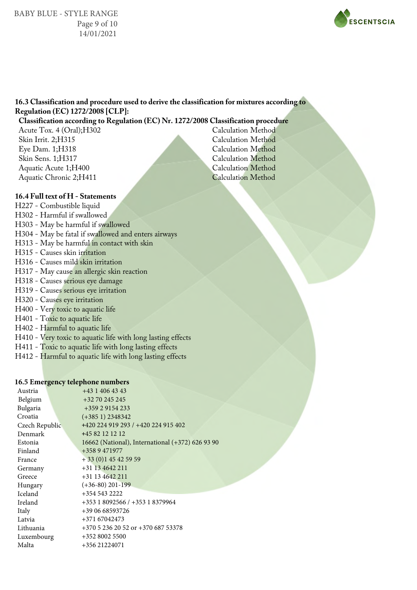BABY BLUE - STYLE RANGE Page 9 of 10 14/01/2021



## **16.3 Classification and procedure used to derive the classification for mixtures according to Regulation (EC) 1272/2008 [CLP]:**

## **Classification according to Regulation (EC) Nr. 1272/2008 Classification procedure**

Acute Tox. 4 (Oral);H302 Skin Irrit. 2;H315 Eye Dam. 1;H318 Skin Sens. 1;H317 Aquatic Acute 1;H400 Aquatic Chronic 2;H411

Calculation Method Calculation Method Calculation Method Calculation Method Calculation Method Calculation Method

## **16.4 Full text of H - Statements**

H227 - Combustible liquid H302 - Harmful if swallowed H303 - May be harmful if swallowed H304 - May be fatal if swallowed and enters airways H313 - May be harmful in contact with skin H315 - Causes skin irritation H316 - Causes mild skin irritation H317 - May cause an allergic skin reaction H318 - Causes serious eye damage H319 - Causes serious eye irritation H320 - Causes eye irritation H400 - Very toxic to aquatic life H401 - Toxic to aquatic life H402 - Harmful to aquatic life H410 - Very toxic to aquatic life with long lasting effects H411 - Toxic to aquatic life with long lasting effects H412 - Harmful to aquatic life with long lasting effects

#### **16.5 Emergency telephone numbers**

| Austria        | $+4314064343$                                    |
|----------------|--------------------------------------------------|
| Belgium        | +32 70 245 245                                   |
| Bulgaria       | +359 2 9154 233                                  |
| Croatia        | $(+3851)$ 2348342                                |
| Czech Republic | +420 224 919 293 / +420 224 915 402              |
| Denmark        | +45 82 12 12 12                                  |
| Estonia        | 16662 (National), International (+372) 626 93 90 |
| Finland        | +358 9 471977                                    |
| France         | $+33(0)145425959$                                |
| Germany        | +31 13 4642 211                                  |
| Greece         | $+31$ 13 4642 211                                |
| Hungary        | $(+36-80)$ 201-199                               |
| <b>Iceland</b> | +354 543 2222                                    |
| Ireland        | +353 1 8092566 / +353 1 8379964                  |
| Italy          | +39 06 68593726                                  |
| Latvia         | +371 67042473                                    |
| Lithuania      | +370 5 236 20 52 or +370 687 53378               |
| Luxembourg     | +352 8002 5500                                   |
| Malta          | +356 21224071                                    |
|                |                                                  |